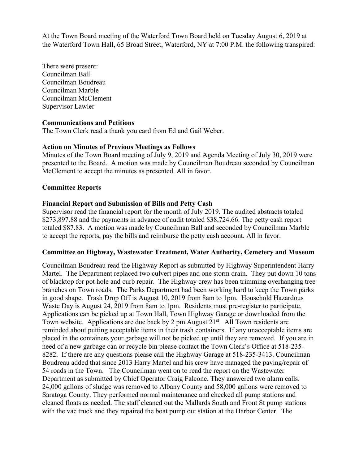At the Town Board meeting of the Waterford Town Board held on Tuesday August 6, 2019 at the Waterford Town Hall, 65 Broad Street, Waterford, NY at 7:00 P.M. the following transpired:

There were present: Councilman Ball Councilman Boudreau Councilman Marble Councilman McClement Supervisor Lawler

### **Communications and Petitions**

The Town Clerk read a thank you card from Ed and Gail Weber.

#### **Action on Minutes of Previous Meetings as Follows**

Minutes of the Town Board meeting of July 9, 2019 and Agenda Meeting of July 30, 2019 were presented to the Board. A motion was made by Councilman Boudreau seconded by Councilman McClement to accept the minutes as presented. All in favor.

#### **Committee Reports**

#### **Financial Report and Submission of Bills and Petty Cash**

Supervisor read the financial report for the month of July 2019. The audited abstracts totaled \$273,897.88 and the payments in advance of audit totaled \$38,724.66. The petty cash report totaled \$87.83. A motion was made by Councilman Ball and seconded by Councilman Marble to accept the reports, pay the bills and reimburse the petty cash account. All in favor.

#### **Committee on Highway, Wastewater Treatment, Water Authority, Cemetery and Museum**

Councilman Boudreau read the Highway Report as submitted by Highway Superintendent Harry Martel. The Department replaced two culvert pipes and one storm drain. They put down 10 tons of blacktop for pot hole and curb repair. The Highway crew has been trimming overhanging tree branches on Town roads. The Parks Department had been working hard to keep the Town parks in good shape. Trash Drop Off is August 10, 2019 from 8am to 1pm. Household Hazardous Waste Day is August 24, 2019 from 8am to 1pm. Residents must pre-register to participate. Applications can be picked up at Town Hall, Town Highway Garage or downloaded from the Town website. Applications are due back by 2 pm August 21<sup>st</sup>. All Town residents are reminded about putting acceptable items in their trash containers. If any unacceptable items are placed in the containers your garbage will not be picked up until they are removed. If you are in need of a new garbage can or recycle bin please contact the Town Clerk's Office at 518-235- 8282. If there are any questions please call the Highway Garage at 518-235-3413. Councilman Boudreau added that since 2013 Harry Martel and his crew have managed the paving/repair of 54 roads in the Town. The Councilman went on to read the report on the Wastewater Department as submitted by Chief Operator Craig Falcone. They answered two alarm calls. 24,000 gallons of sludge was removed to Albany County and 58,000 gallons were removed to Saratoga County. They performed normal maintenance and checked all pump stations and cleaned floats as needed. The staff cleaned out the Mallards South and Front St pump stations with the vac truck and they repaired the boat pump out station at the Harbor Center. The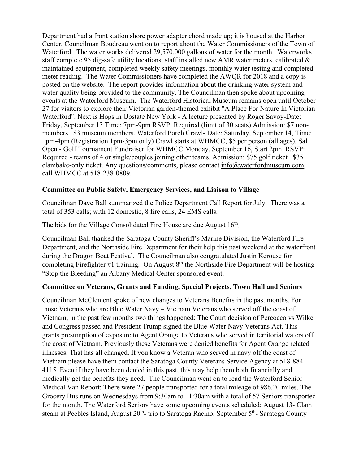Department had a front station shore power adapter chord made up; it is housed at the Harbor Center. Councilman Boudreau went on to report about the Water Commissioners of the Town of Waterford. The water works delivered 29,570,000 gallons of water for the month. Waterworks staff complete 95 dig-safe utility locations, staff installed new AMR water meters, calibrated  $\&$ maintained equipment, completed weekly safety meetings, monthly water testing and completed meter reading. The Water Commissioners have completed the AWQR for 2018 and a copy is posted on the website. The report provides information about the drinking water system and water quality being provided to the community. The Councilman then spoke about upcoming events at the Waterford Museum. The Waterford Historical Museum remains open until October 27 for visitors to explore their Victorian garden-themed exhibit "A Place For Nature In Victorian Waterford". Next is Hops in Upstate New York - A lecture presented by Roger Savoy-Date: Friday, September 13 Time: 7pm-9pm RSVP: Required (limit of 30 seats) Admission: \$7 nonmembers \$3 museum members. Waterford Porch Crawl- Date: Saturday, September 14, Time: 1pm-4pm (Registration 1pm-3pm only) Crawl starts at WHMCC, \$5 per person (all ages). Sal Open - Golf Tournament Fundraiser for WHMCC Monday, September 16, Start 2pm. RSVP: Required - teams of 4 or single/couples joining other teams. Admission: \$75 golf ticket \$35 clambake-only ticket. Any questions/comments, please contact info@waterfordmuseum.com, call WHMCC at 518-238-0809.

### **Committee on Public Safety, Emergency Services, and Liaison to Village**

Councilman Dave Ball summarized the Police Department Call Report for July. There was a total of 353 calls; with 12 domestic, 8 fire calls, 24 EMS calls.

The bids for the Village Consolidated Fire House are due August 16<sup>th</sup>.

Councilman Ball thanked the Saratoga County Sheriff's Marine Division, the Waterford Fire Department, and the Northside Fire Department for their help this past weekend at the waterfront during the Dragon Boat Festival. The Councilman also congratulated Justin Kerouse for completing Firefighter #1 training. On August  $8<sup>th</sup>$  the Northside Fire Department will be hosting "Stop the Bleeding" an Albany Medical Center sponsored event.

## **Committee on Veterans, Grants and Funding, Special Projects, Town Hall and Seniors**

Councilman McClement spoke of new changes to Veterans Benefits in the past months. For those Veterans who are Blue Water Navy – Vietnam Veterans who served off the coast of Vietnam, in the past few months two things happened: The Court decision of Percocco vs Wilke and Congress passed and President Trump signed the Blue Water Navy Veterans Act. This grants presumption of exposure to Agent Orange to Veterans who served in territorial waters off the coast of Vietnam. Previously these Veterans were denied benefits for Agent Orange related illnesses. That has all changed. If you know a Veteran who served in navy off the coast of Vietnam please have them contact the Saratoga County Veterans Service Agency at 518-884- 4115. Even if they have been denied in this past, this may help them both financially and medically get the benefits they need. The Councilman went on to read the Waterford Senior Medical Van Report: There were 27 people transported for a total mileage of 986.20 miles. The Grocery Bus runs on Wednesdays from 9:30am to 11:30am with a total of 57 Seniors transported for the month. The Waterford Seniors have some upcoming events scheduled: August 13- Clam steam at Peebles Island, August  $20<sup>th</sup>$ - trip to Saratoga Racino, September  $5<sup>th</sup>$ - Saratoga County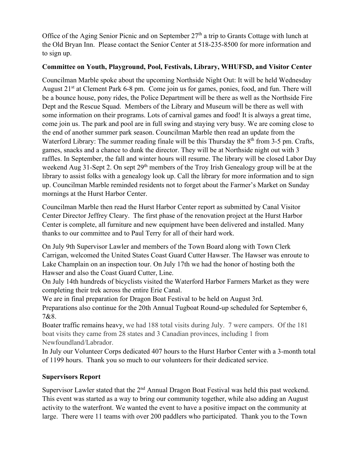Office of the Aging Senior Picnic and on September  $27<sup>th</sup>$  a trip to Grants Cottage with lunch at the Old Bryan Inn. Please contact the Senior Center at 518-235-8500 for more information and to sign up.

## **Committee on Youth, Playground, Pool, Festivals, Library, WHUFSD, and Visitor Center**

Councilman Marble spoke about the upcoming Northside Night Out: It will be held Wednesday August 21<sup>st</sup> at Clement Park 6-8 pm. Come join us for games, ponies, food, and fun. There will be a bounce house, pony rides, the Police Department will be there as well as the Northside Fire Dept and the Rescue Squad. Members of the Library and Museum will be there as well with some information on their programs. Lots of carnival games and food! It is always a great time, come join us. The park and pool are in full swing and staying very busy. We are coming close to the end of another summer park season. Councilman Marble then read an update from the Waterford Library: The summer reading finale will be this Thursday the  $8<sup>th</sup>$  from 3-5 pm. Crafts, games, snacks and a chance to dunk the director. They will be at Northside night out with 3 raffles. In September, the fall and winter hours will resume. The library will be closed Labor Day weekend Aug 31-Sept 2. On sept 29<sup>th</sup> members of the Troy Irish Genealogy group will be at the library to assist folks with a genealogy look up. Call the library for more information and to sign up. Councilman Marble reminded residents not to forget about the Farmer's Market on Sunday mornings at the Hurst Harbor Center.

Councilman Marble then read the Hurst Harbor Center report as submitted by Canal Visitor Center Director Jeffrey Cleary. The first phase of the renovation project at the Hurst Harbor Center is complete, all furniture and new equipment have been delivered and installed. Many thanks to our committee and to Paul Terry for all of their hard work.

On July 9th Supervisor Lawler and members of the Town Board along with Town Clerk Carrigan, welcomed the United States Coast Guard Cutter Hawser. The Hawser was enroute to Lake Champlain on an inspection tour. On July 17th we had the honor of hosting both the Hawser and also the Coast Guard Cutter, Line.

On July 14th hundreds of bicyclists visited the Waterford Harbor Farmers Market as they were completing their trek across the entire Erie Canal.

We are in final preparation for Dragon Boat Festival to be held on August 3rd. Preparations also continue for the 20th Annual Tugboat Round-up scheduled for September 6, 7&8.

Boater traffic remains heavy, we had 188 total visits during July. 7 were campers. Of the 181 boat visits they came from 28 states and 3 Canadian provinces, including 1 from Newfoundland/Labrador.

In July our Volunteer Corps dedicated 407 hours to the Hurst Harbor Center with a 3-month total of 1199 hours. Thank you so much to our volunteers for their dedicated service.

# **Supervisors Report**

Supervisor Lawler stated that the  $2<sup>nd</sup>$  Annual Dragon Boat Festival was held this past weekend. This event was started as a way to bring our community together, while also adding an August activity to the waterfront. We wanted the event to have a positive impact on the community at large. There were 11 teams with over 200 paddlers who participated. Thank you to the Town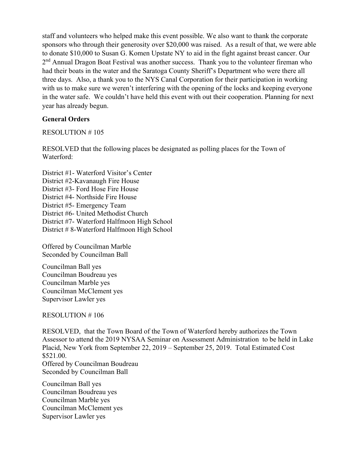staff and volunteers who helped make this event possible. We also want to thank the corporate sponsors who through their generosity over \$20,000 was raised. As a result of that, we were able to donate \$10,000 to Susan G. Komen Upstate NY to aid in the fight against breast cancer. Our 2<sup>nd</sup> Annual Dragon Boat Festival was another success. Thank you to the volunteer fireman who had their boats in the water and the Saratoga County Sheriff's Department who were there all three days. Also, a thank you to the NYS Canal Corporation for their participation in working with us to make sure we weren't interfering with the opening of the locks and keeping everyone in the water safe. We couldn't have held this event with out their cooperation. Planning for next year has already begun.

### **General Orders**

### RESOLUTION # 105

RESOLVED that the following places be designated as polling places for the Town of Waterford:

District #1- Waterford Visitor's Center District #2-Kavanaugh Fire House District #3- Ford Hose Fire House District #4- Northside Fire House District #5- Emergency Team District #6- United Methodist Church District #7- Waterford Halfmoon High School District # 8-Waterford Halfmoon High School

Offered by Councilman Marble Seconded by Councilman Ball

Councilman Ball yes Councilman Boudreau yes Councilman Marble yes Councilman McClement yes Supervisor Lawler yes

RESOLUTION # 106

RESOLVED, that the Town Board of the Town of Waterford hereby authorizes the Town Assessor to attend the 2019 NYSAA Seminar on Assessment Administration to be held in Lake Placid, New York from September 22, 2019 – September 25, 2019. Total Estimated Cost \$521.00. Offered by Councilman Boudreau Seconded by Councilman Ball

Councilman Ball yes Councilman Boudreau yes Councilman Marble yes Councilman McClement yes Supervisor Lawler yes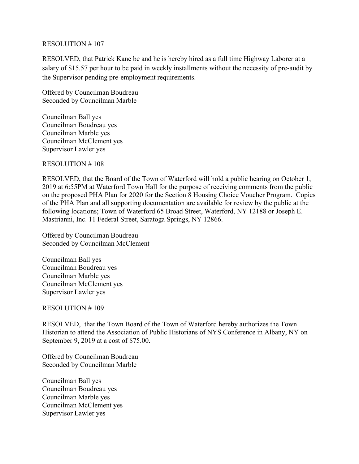#### RESOLUTION # 107

RESOLVED, that Patrick Kane be and he is hereby hired as a full time Highway Laborer at a salary of \$15.57 per hour to be paid in weekly installments without the necessity of pre-audit by the Supervisor pending pre-employment requirements.

Offered by Councilman Boudreau Seconded by Councilman Marble

Councilman Ball yes Councilman Boudreau yes Councilman Marble yes Councilman McClement yes Supervisor Lawler yes

RESOLUTION # 108

RESOLVED, that the Board of the Town of Waterford will hold a public hearing on October 1, 2019 at 6:55PM at Waterford Town Hall for the purpose of receiving comments from the public on the proposed PHA Plan for 2020 for the Section 8 Housing Choice Voucher Program. Copies of the PHA Plan and all supporting documentation are available for review by the public at the following locations; Town of Waterford 65 Broad Street, Waterford, NY 12188 or Joseph E. Mastrianni, Inc. 11 Federal Street, Saratoga Springs, NY 12866.

Offered by Councilman Boudreau Seconded by Councilman McClement

Councilman Ball yes Councilman Boudreau yes Councilman Marble yes Councilman McClement yes Supervisor Lawler yes

### RESOLUTION # 109

RESOLVED, that the Town Board of the Town of Waterford hereby authorizes the Town Historian to attend the Association of Public Historians of NYS Conference in Albany, NY on September 9, 2019 at a cost of \$75.00.

Offered by Councilman Boudreau Seconded by Councilman Marble

Councilman Ball yes Councilman Boudreau yes Councilman Marble yes Councilman McClement yes Supervisor Lawler yes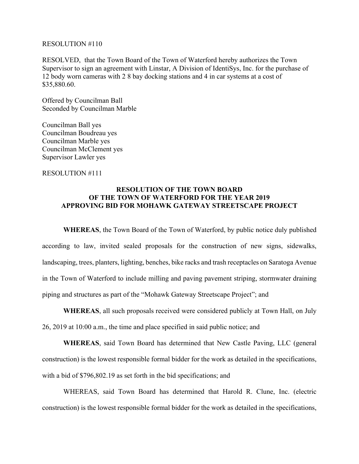#### RESOLUTION #110

RESOLVED, that the Town Board of the Town of Waterford hereby authorizes the Town Supervisor to sign an agreement with Linstar, A Division of IdentiSys, Inc. for the purchase of 12 body worn cameras with 2 8 bay docking stations and 4 in car systems at a cost of \$35,880.60.

Offered by Councilman Ball Seconded by Councilman Marble

Councilman Ball yes Councilman Boudreau yes Councilman Marble yes Councilman McClement yes Supervisor Lawler yes

#### RESOLUTION #111

#### **RESOLUTION OF THE TOWN BOARD OF THE TOWN OF WATERFORD FOR THE YEAR 2019 APPROVING BID FOR MOHAWK GATEWAY STREETSCAPE PROJECT**

**WHEREAS**, the Town Board of the Town of Waterford, by public notice duly published according to law, invited sealed proposals for the construction of new signs, sidewalks, landscaping, trees, planters, lighting, benches, bike racks and trash receptacles on Saratoga Avenue in the Town of Waterford to include milling and paving pavement striping, stormwater draining piping and structures as part of the "Mohawk Gateway Streetscape Project"; and

**WHEREAS**, all such proposals received were considered publicly at Town Hall, on July 26, 2019 at 10:00 a.m., the time and place specified in said public notice; and

**WHEREAS**, said Town Board has determined that New Castle Paving, LLC (general construction) is the lowest responsible formal bidder for the work as detailed in the specifications, with a bid of \$796,802.19 as set forth in the bid specifications; and

WHEREAS, said Town Board has determined that Harold R. Clune, Inc. (electric construction) is the lowest responsible formal bidder for the work as detailed in the specifications,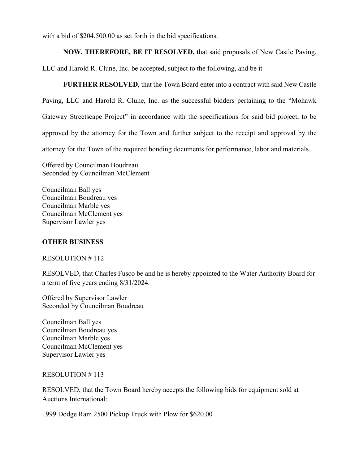with a bid of \$204,500.00 as set forth in the bid specifications.

### **NOW, THEREFORE, BE IT RESOLVED,** that said proposals of New Castle Paving,

LLC and Harold R. Clune, Inc. be accepted, subject to the following, and be it

**FURTHER RESOLVED**, that the Town Board enter into a contract with said New Castle Paving, LLC and Harold R. Clune, Inc. as the successful bidders pertaining to the "Mohawk Gateway Streetscape Project" in accordance with the specifications for said bid project, to be approved by the attorney for the Town and further subject to the receipt and approval by the attorney for the Town of the required bonding documents for performance, labor and materials.

Offered by Councilman Boudreau Seconded by Councilman McClement

Councilman Ball yes Councilman Boudreau yes Councilman Marble yes Councilman McClement yes Supervisor Lawler yes

## **OTHER BUSINESS**

### RESOLUTION # 112

RESOLVED, that Charles Fusco be and he is hereby appointed to the Water Authority Board for a term of five years ending 8/31/2024.

Offered by Supervisor Lawler Seconded by Councilman Boudreau

Councilman Ball yes Councilman Boudreau yes Councilman Marble yes Councilman McClement yes Supervisor Lawler yes

### RESOLUTION # 113

RESOLVED, that the Town Board hereby accepts the following bids for equipment sold at Auctions International:

1999 Dodge Ram 2500 Pickup Truck with Plow for \$620.00